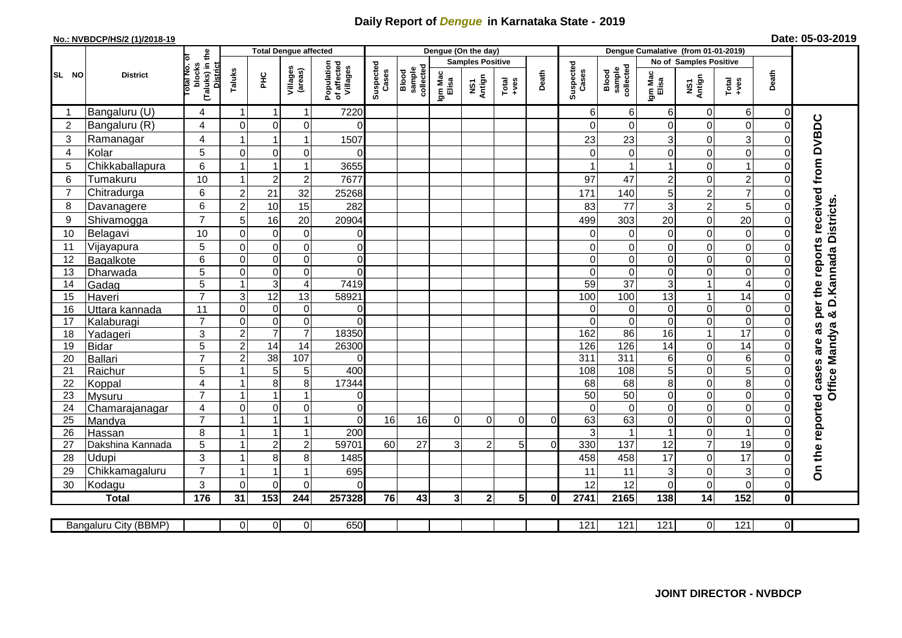## **Daily Report of** *Dengue* **in Karnataka State - 2019**

## **No.: NVBDCP/HS/2 (1)/2018-19**

|  | Date: 05-03-2019 |  |
|--|------------------|--|
|--|------------------|--|

|                |                       |                                                       |                | <b>Total Dengue affected</b> |                     |                                       | Dengue (On the day) |                             |                  |                         |          |          | Dengue Cumalative (from 01-01-2019) |                              |                  |                               |                |              |                                     |
|----------------|-----------------------|-------------------------------------------------------|----------------|------------------------------|---------------------|---------------------------------------|---------------------|-----------------------------|------------------|-------------------------|----------|----------|-------------------------------------|------------------------------|------------------|-------------------------------|----------------|--------------|-------------------------------------|
|                |                       |                                                       |                |                              |                     |                                       |                     |                             |                  | <b>Samples Positive</b> |          |          |                                     |                              |                  | No of Samples Positive        |                |              |                                     |
| SL NO          | <b>District</b>       | (Taluks) in the<br>Total No. of<br>blocks<br>District | Taluks         | ЭHС                          | Villages<br>(areas) | Population<br>of affected<br>Villages | Suspected<br>Cases  | Blood<br>sample<br>collecte | Igm Mac<br>Elisa | NS1<br>Antign           | $Total$  | Death    | Suspected<br>Cases                  | sample<br>collected<br>Blood | Igm Mac<br>Elisa | NS1<br>Antign                 | Total<br>+ves  | Death        |                                     |
|                | Bangaluru (U)         | 4                                                     |                | -1                           | 1                   | 7220                                  |                     |                             |                  |                         |          |          | 6                                   | 6                            | 6                | $\mathbf 0$                   | 6              | $\Omega$     |                                     |
| $\overline{2}$ | Bangaluru (R)         | 4                                                     | $\mathbf 0$    | $\mathbf 0$                  | $\mathbf 0$         | 0                                     |                     |                             |                  |                         |          |          | $\Omega$                            | $\Omega$                     | 0                | $\mathsf 0$                   | $\pmb{0}$      | $\Omega$     |                                     |
| 3              | Ramanagar             | 4                                                     |                | 1                            | 1                   | 1507                                  |                     |                             |                  |                         |          |          | 23                                  | 23                           | 3                | $\mathbf 0$                   | 3              |              | per the reports received from DVBDC |
| $\overline{4}$ | Kolar                 | 5                                                     | $\Omega$       | $\mathbf 0$                  | $\mathbf 0$         | $\Omega$                              |                     |                             |                  |                         |          |          | $\Omega$                            | $\Omega$                     | $\Omega$         | $\mathbf 0$                   | $\mathbf 0$    |              |                                     |
| 5              | Chikkaballapura       | 6                                                     |                | $\overline{1}$               | 1                   | 3655                                  |                     |                             |                  |                         |          |          |                                     |                              |                  | $\mathbf 0$                   | $\overline{1}$ |              |                                     |
| 6              | Tumakuru              | 10                                                    |                | $\sqrt{2}$                   | $\boldsymbol{2}$    | 7677                                  |                     |                             |                  |                         |          |          | 97                                  | 47                           | $\overline{c}$   | $\mathbf 0$                   | $\sqrt{2}$     |              |                                     |
| $\overline{7}$ | Chitradurga           | 6                                                     | $\overline{2}$ | 21                           | 32                  | 25268                                 |                     |                             |                  |                         |          |          | 171                                 | 140                          | 5                | $\overline{c}$                | $\overline{7}$ |              |                                     |
| 8              | Davanagere            | 6                                                     | $\overline{2}$ | 10                           | 15                  | 282                                   |                     |                             |                  |                         |          |          | 83                                  | 77                           | 3                | $\overline{c}$                | 5              |              |                                     |
| 9              | Shivamogga            | $\overline{7}$                                        | 5              | 16                           | 20                  | 20904                                 |                     |                             |                  |                         |          |          | 499                                 | 303                          | 20               | $\mathsf 0$                   | 20             |              | & D.Kannada Districts               |
| 10             | Belagavi              | 10                                                    | $\mathbf 0$    | $\mathbf 0$                  | $\boldsymbol{0}$    | 0                                     |                     |                             |                  |                         |          |          | $\Omega$                            | $\overline{0}$               | 0                | $\mathbf 0$                   | $\mathbf 0$    | $\Omega$     |                                     |
| 11             | Vijayapura            | 5                                                     | $\mathbf 0$    | $\mathbf 0$                  | $\mathbf 0$         | $\overline{0}$                        |                     |                             |                  |                         |          |          | $\Omega$                            | $\mathbf 0$                  | 0                | $\mathbf 0$                   | $\mathsf 0$    |              |                                     |
| 12             | Bagalkote             | 6                                                     | $\mathbf 0$    | $\mathbf 0$                  | $\boldsymbol{0}$    | $\overline{0}$                        |                     |                             |                  |                         |          |          | $\Omega$                            | $\mathbf 0$                  | 0                | $\mathbf 0$                   | $\pmb{0}$      |              |                                     |
| 13             | Dharwada              | $\overline{5}$                                        | $\mathbf 0$    | $\mathbf 0$                  | $\mathbf 0$         | $\overline{0}$                        |                     |                             |                  |                         |          |          | $\Omega$                            | $\mathbf 0$                  | 0                | $\overline{0}$                | $\mathbf 0$    |              |                                     |
| 14             | Gadag                 | $\overline{5}$                                        |                | $\overline{3}$               | 4                   | 7419                                  |                     |                             |                  |                         |          |          | 59                                  | $\overline{37}$              | 3                | $\overline{1}$                | 4              |              |                                     |
| 15             | Haveri                | $\overline{7}$                                        | 3              | 12                           | 13                  | 58921                                 |                     |                             |                  |                         |          |          | 100                                 | 100                          | 13               | $\mathbf{1}$                  | 14             | 0            |                                     |
| 16             | Uttara kannada        | 11                                                    | $\Omega$       | $\Omega$                     | $\mathbf 0$         | 0                                     |                     |                             |                  |                         |          |          | $\Omega$                            | $\Omega$                     | $\Omega$         | $\mathbf 0$                   | $\mathbf 0$    |              |                                     |
| 17             | Kalaburagi            | $\overline{7}$                                        | $\Omega$       | $\overline{0}$               | $\mathbf 0$         | 0                                     |                     |                             |                  |                         |          |          | $\Omega$                            | $\Omega$                     | $\Omega$         | $\mathbf 0$                   | $\mathbf 0$    |              | as                                  |
| 18             | Yadageri              | 3                                                     | $\overline{c}$ | $\overline{7}$               | $\overline{7}$      | 18350                                 |                     |                             |                  |                         |          |          | 162                                 | 86                           | 16               | $\mathbf{1}$                  | 17             |              |                                     |
| 19             | Bidar                 | 5                                                     | $\overline{2}$ | 14                           | 14                  | 26300                                 |                     |                             |                  |                         |          |          | 126                                 | 126                          | 14               | $\mathsf 0$                   | 14             |              | are                                 |
| 20             | <b>Ballari</b>        | $\overline{7}$                                        | $\overline{2}$ | 38                           | 107                 | $\overline{0}$                        |                     |                             |                  |                         |          |          | 311                                 | 311                          | 6                | $\mathbf 0$                   | $\,6\,$        |              |                                     |
| 21             | Raichur               | $\overline{5}$                                        |                | 5                            | 5                   | 400                                   |                     |                             |                  |                         |          |          | 108                                 | 108                          | $\overline{5}$   | $\mathbf 0$                   | $\overline{5}$ |              | Office Mandya                       |
| 22             | Koppal                | 4                                                     |                | 8                            | 8                   | 17344                                 |                     |                             |                  |                         |          |          | 68                                  | 68                           | 8                | $\pmb{0}$                     | 8              |              |                                     |
| 23             | Mysuru                | $\overline{7}$                                        |                | $\overline{1}$               |                     | $\overline{0}$                        |                     |                             |                  |                         |          |          | 50                                  | 50                           | 0                | $\mathbf 0$                   | $\pmb{0}$      | 0            |                                     |
| 24             | Chamarajanagar        | 4                                                     | $\mathbf 0$    | $\boldsymbol{0}$             | $\pmb{0}$           | $\overline{0}$                        |                     |                             |                  |                         |          |          | $\mathbf 0$                         | $\mathbf 0$                  | 0                | $\mathsf 0$                   | $\pmb{0}$      |              |                                     |
| 25             | Mandya                | $\overline{7}$                                        |                | -1                           | $\overline{1}$      | $\Omega$                              | 16                  | 16                          | $\Omega$         | $\Omega$                | $\Omega$ | $\Omega$ | 63                                  | 63                           | 0                | $\mathsf 0$                   | $\mathsf 0$    |              |                                     |
| 26             | Hassan                | 8                                                     |                | -1                           | $\overline{1}$      | 200                                   |                     |                             |                  |                         |          |          | 3                                   |                              | 1                | $\mathbf 0$<br>$\overline{7}$ | $\overline{1}$ |              |                                     |
| 27             | Dakshina Kannada      | 5                                                     |                | $\overline{c}$               | $\overline{2}$      | 59701                                 | 60                  | $\overline{27}$             | 3 <sup>1</sup>   | $\overline{2}$          | 5        | $\Omega$ | 330                                 | 137                          | 12               |                               | 19             |              |                                     |
| 28             | <b>Udupi</b>          | 3                                                     |                | 8                            | 8                   | 1485                                  |                     |                             |                  |                         |          |          | 458                                 | 458                          | 17               | $\mathsf 0$                   | 17             |              | On the reported cases               |
| 29             | Chikkamagaluru        | $\overline{7}$                                        |                | -1                           | 1                   | 695                                   |                     |                             |                  |                         |          |          | 11                                  | 11                           | 3                | $\mathsf 0$                   | 3              |              |                                     |
| 30             | Kodagu                | 3                                                     | $\Omega$       | $\Omega$                     | $\Omega$            | $\Omega$                              |                     |                             |                  |                         |          |          | 12                                  | 12                           | $\Omega$         | $\mathbf 0$                   | $\mathbf 0$    | 0            |                                     |
|                | <b>Total</b>          | 176                                                   | 31             | 153                          | 244                 | 257328                                | 76                  | 43                          | 3 <sup>1</sup>   | 2 <sup>1</sup>          | 5        | 0        | 2741                                | 2165                         | 138              | 14                            | 152            | $\mathbf{0}$ |                                     |
|                | Bangaluru City (BBMP) |                                                       | $\overline{0}$ | $\overline{0}$               | $\overline{0}$      | 650                                   |                     |                             |                  |                         |          |          | 121                                 | 121                          | 121              | $\overline{0}$                | 121            | οI           |                                     |